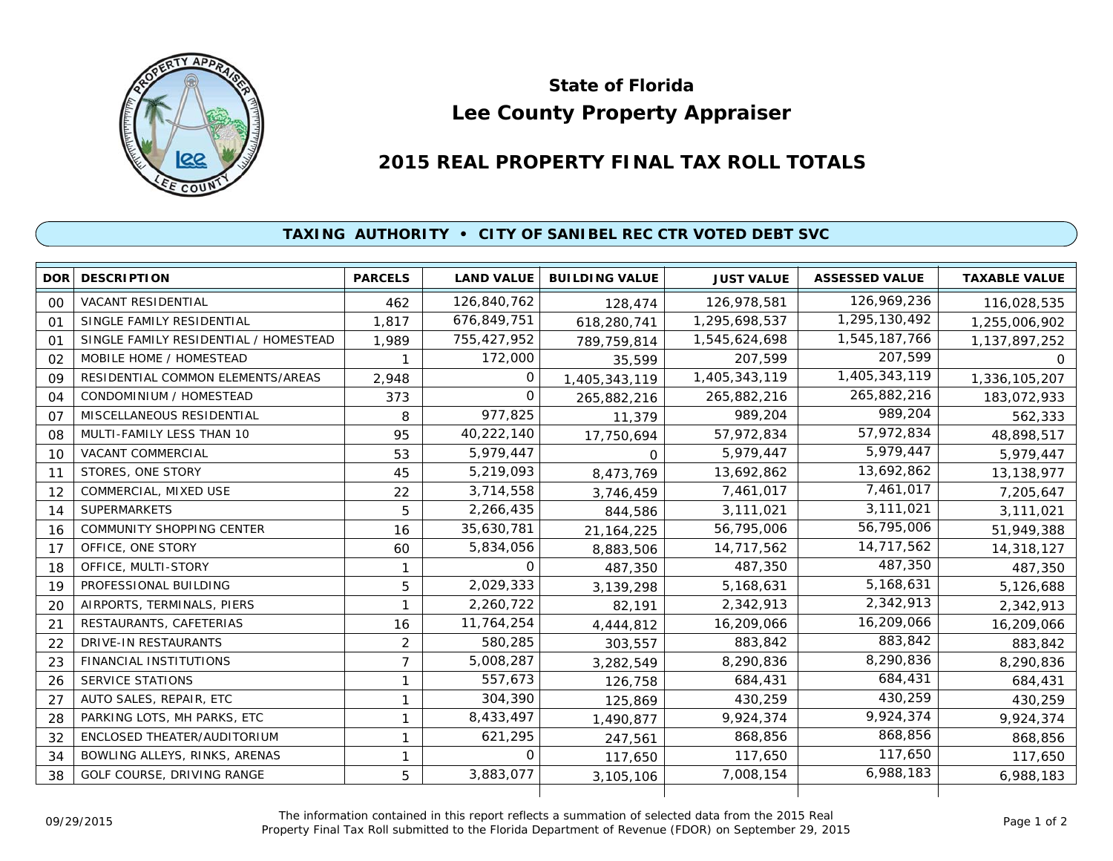

## **Lee County Property Appraiser State of Florida**

## **2015 REAL PROPERTY FINAL TAX ROLL TOTALS**

## **TAXING AUTHORITY • CITY OF SANIBEL REC CTR VOTED DEBT SVC**

|    | <b>DOR DESCRIPTION</b>                | <b>PARCELS</b> | <b>LAND VALUE</b> | <b>BUILDING VALUE</b> | <b>JUST VALUE</b> | <b>ASSESSED VALUE</b> | <b>TAXABLE VALUE</b> |
|----|---------------------------------------|----------------|-------------------|-----------------------|-------------------|-----------------------|----------------------|
| 00 | VACANT RESIDENTIAL                    | 462            | 126,840,762       | 128,474               | 126,978,581       | 126,969,236           | 116,028,535          |
| 01 | SINGLE FAMILY RESIDENTIAL             | 1.817          | 676,849,751       | 618,280,741           | 1,295,698,537     | 1,295,130,492         | 1,255,006,902        |
| 01 | SINGLE FAMILY RESIDENTIAL / HOMESTEAD | 1,989          | 755,427,952       | 789,759,814           | 1,545,624,698     | 1,545,187,766         | 1,137,897,252        |
| 02 | MOBILE HOME / HOMESTEAD               |                | 172,000           | 35,599                | 207,599           | 207,599               | $\Omega$             |
| 09 | RESIDENTIAL COMMON ELEMENTS/AREAS     | 2,948          | Ω                 | 1,405,343,119         | 1,405,343,119     | 1,405,343,119         | 1,336,105,207        |
| 04 | CONDOMINIUM / HOMESTEAD               | 373            | 0                 | 265,882,216           | 265,882,216       | 265,882,216           | 183,072,933          |
| 07 | MISCELLANEOUS RESIDENTIAL             | 8              | 977,825           | 11,379                | 989,204           | 989,204               | 562,333              |
| 08 | MULTI-FAMILY LESS THAN 10             | 95             | 40,222,140        | 17,750,694            | 57,972,834        | 57,972,834            | 48,898,517           |
| 10 | <b>VACANT COMMERCIAL</b>              | 53             | 5,979,447         | $\Omega$              | 5,979,447         | 5,979,447             | 5,979,447            |
| 11 | STORES, ONE STORY                     | 45             | 5,219,093         | 8,473,769             | 13,692,862        | 13,692,862            | 13,138,977           |
| 12 | COMMERCIAL, MIXED USE                 | 22             | 3,714,558         | 3,746,459             | 7,461,017         | 7,461,017             | 7,205,647            |
| 14 | <b>SUPERMARKETS</b>                   | 5              | 2,266,435         | 844,586               | 3,111,021         | 3,111,021             | 3,111,021            |
| 16 | <b>COMMUNITY SHOPPING CENTER</b>      | 16             | 35,630,781        | 21, 164, 225          | 56,795,006        | 56,795,006            | 51,949,388           |
| 17 | OFFICE, ONE STORY                     | 60             | 5,834,056         | 8,883,506             | 14,717,562        | 14,717,562            | 14,318,127           |
| 18 | OFFICE, MULTI-STORY                   | $\mathbf{1}$   | O                 | 487,350               | 487,350           | 487,350               | 487,350              |
| 19 | PROFESSIONAL BUILDING                 | 5              | 2,029,333         | 3,139,298             | 5,168,631         | 5,168,631             | 5,126,688            |
| 20 | AIRPORTS, TERMINALS, PIERS            | $\mathbf{1}$   | 2,260,722         | 82,191                | 2,342,913         | 2,342,913             | 2,342,913            |
| 21 | RESTAURANTS, CAFETERIAS               | 16             | 11,764,254        | 4,444,812             | 16,209,066        | 16,209,066            | 16,209,066           |
| 22 | <b>DRIVE-IN RESTAURANTS</b>           | $\overline{c}$ | 580,285           | 303,557               | 883,842           | 883,842               | 883,842              |
| 23 | FINANCIAL INSTITUTIONS                | $\overline{7}$ | 5,008,287         | 3,282,549             | 8,290,836         | 8,290,836             | 8,290,836            |
| 26 | <b>SERVICE STATIONS</b>               | 1              | 557,673           | 126,758               | 684,431           | 684,431               | 684,431              |
| 27 | AUTO SALES, REPAIR, ETC               |                | 304,390           | 125,869               | 430,259           | 430,259               | 430,259              |
| 28 | PARKING LOTS, MH PARKS, ETC           |                | 8,433,497         | 1,490,877             | 9,924,374         | 9,924,374             | 9,924,374            |
| 32 | ENCLOSED THEATER/AUDITORIUM           | $\mathbf{1}$   | 621,295           | 247,561               | 868,856           | 868,856               | 868,856              |
| 34 | BOWLING ALLEYS, RINKS, ARENAS         | 1              | $\Omega$          | 117,650               | 117,650           | 117,650               | 117,650              |
| 38 | GOLF COURSE, DRIVING RANGE            | 5              | 3,883,077         | 3,105,106             | 7,008,154         | 6,988,183             | 6,988,183            |
|    |                                       |                |                   |                       |                   |                       |                      |

The information contained in this report reflects a summation of selected data from the 2015 Real Ine information contained in this report reflects a summation of selected data from the 2015 Real<br>Property Final Tax Roll submitted to the Florida Department of Revenue (FDOR) on September 29, 2015